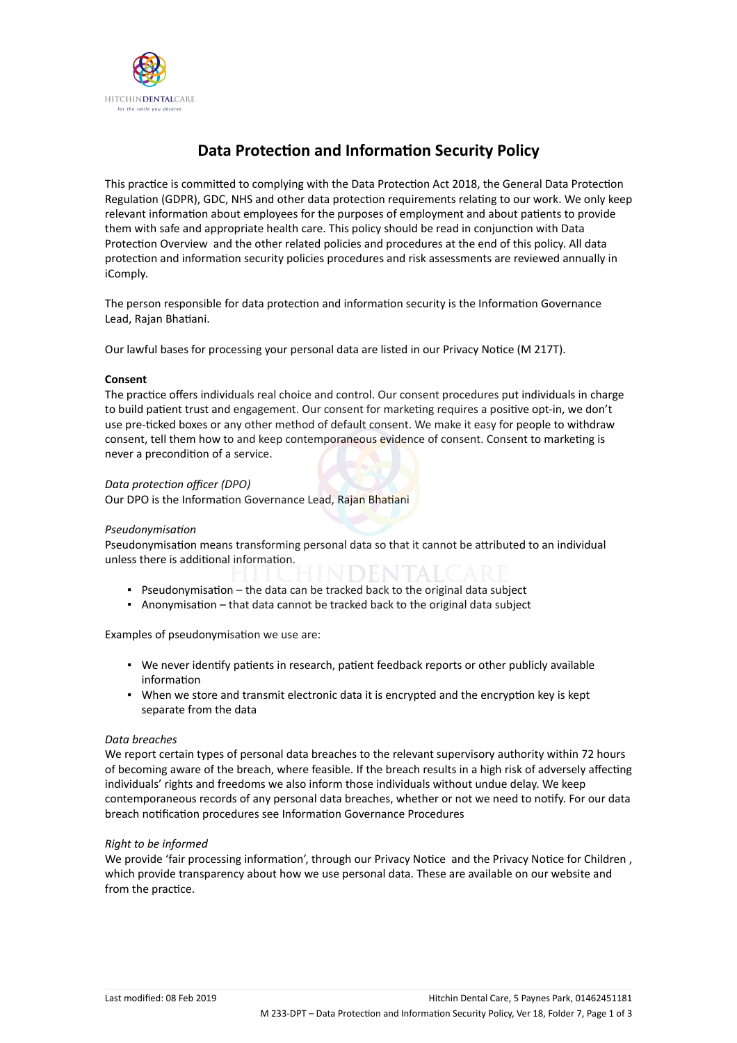

# **Data Protection and Information Security Policy**

This practice is committed to complying with the Data Protection Act 2018, the General Data Protection Regulation (GDPR), GDC, NHS and other data protection requirements relating to our work. We only keep relevant information about employees for the purposes of employment and about patients to provide them with safe and appropriate health care. This policy should be read in conjunction with Data Protection Overview and the other related policies and procedures at the end of this policy. All data protection and information security policies procedures and risk assessments are reviewed annually in iComply.

The person responsible for data protection and information security is the Information Governance Lead, Rajan Bhatiani.

Our lawful bases for processing your personal data are listed in our Privacy Notice (M 217T).

# **Consent**

The practice offers individuals real choice and control. Our consent procedures put individuals in charge to build patient trust and engagement. Our consent for marketing requires a positive opt-in, we don't use pre-ticked boxes or any other method of default consent. We make it easy for people to withdraw consent, tell them how to and keep contemporaneous evidence of consent. Consent to marketing is never a precondition of a service.

# *Data protection officer (DPO)*

Our DPO is the Information Governance Lead, Rajan Bhatiani

# *Pseudonymisation*

Pseudonymisation means transforming personal data so that it cannot be attributed to an individual unless there is additional information.

DENTA

- Pseudonymisation the data can be tracked back to the original data subject
- Anonymisation that data cannot be tracked back to the original data subject

Examples of pseudonymisation we use are:

- We never identify patients in research, patient feedback reports or other publicly available information
- When we store and transmit electronic data it is encrypted and the encryption key is kept separate from the data

# *Data breaches*

We report certain types of personal data breaches to the relevant supervisory authority within 72 hours of becoming aware of the breach, where feasible. If the breach results in a high risk of adversely affecting individuals' rights and freedoms we also inform those individuals without undue delay. We keep contemporaneous records of any personal data breaches, whether or not we need to notify. For our data breach notification procedures see Information Governance Procedures

# *Right to be informed*

We provide 'fair processing information', through our Privacy Notice and the Privacy Notice for Children , which provide transparency about how we use personal data. These are available on our website and from the practice.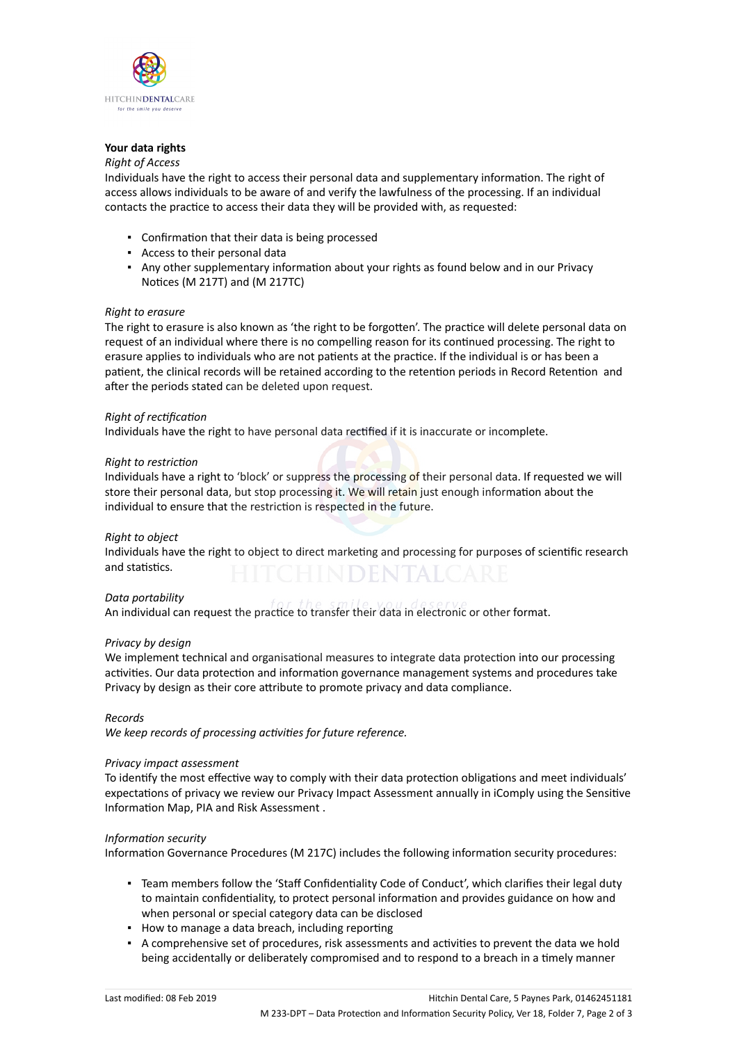

# **Your data rights**

# *Right of Access*

Individuals have the right to access their personal data and supplementary information. The right of access allows individuals to be aware of and verify the lawfulness of the processing. If an individual contacts the practice to access their data they will be provided with, as requested:

- Confirmation that their data is being processed
- Access to their personal data
- Any other supplementary information about your rights as found below and in our Privacy Notices (M 217T) and (M 217TC)

# *Right to erasure*

The right to erasure is also known as 'the right to be forgotten'. The practice will delete personal data on request of an individual where there is no compelling reason for its continued processing. The right to erasure applies to individuals who are not patients at the practice. If the individual is or has been a patient, the clinical records will be retained according to the retention periods in Record Retention and after the periods stated can be deleted upon request.

## *Right of rectification*

Individuals have the right to have personal data rectified if it is inaccurate or incomplete.

## *Right to restriction*

Individuals have a right to 'block' or suppress the processing of their personal data. If requested we will store their personal data, but stop processing it. We will retain just enough information about the individual to ensure that the restriction is respected in the future.

# *Right to object*

Individuals have the right to object to direct marketing and processing for purposes of scientific research and statistics. ELITCHINDENTALCARE

# *Data portability*

An individual can request the practice to transfer their data in electronic or other format.

## *Privacy by design*

We implement technical and organisational measures to integrate data protection into our processing activities. Our data protection and information governance management systems and procedures take Privacy by design as their core attribute to promote privacy and data compliance.

## *Records*

*We keep records of processing activities for future reference.*

## *Privacy impact assessment*

To identify the most effective way to comply with their data protection obligations and meet individuals' expectations of privacy we review our Privacy Impact Assessment annually in iComply using the Sensitive Information Map, PIA and Risk Assessment .

# *Information security*

Information Governance Procedures (M 217C) includes the following information security procedures:

- Team members follow the 'Staff Confidentiality Code of Conduct', which clarifies their legal duty to maintain confidentiality, to protect personal information and provides guidance on how and when personal or special category data can be disclosed
- How to manage a data breach, including reporting
- A comprehensive set of procedures, risk assessments and activities to prevent the data we hold being accidentally or deliberately compromised and to respond to a breach in a timely manner